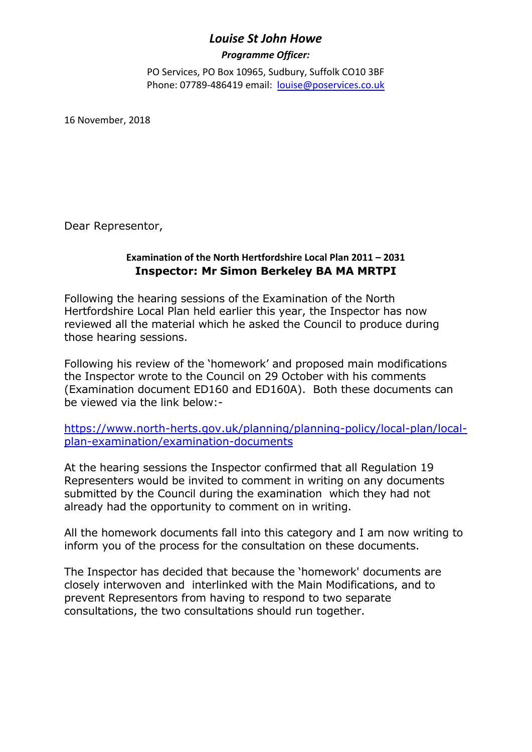## *Louise St John Howe*

## *Programme Officer:*

PO Services, PO Box 10965, Sudbury, Suffolk CO10 3BF Phone: 07789-486419 email: louise@poservices.co.uk

16 November, 2018

Dear Representor,

## **Examination of the North Hertfordshire Local Plan 2011 – 2031 Inspector: Mr Simon Berkeley BA MA MRTPI**

Following the hearing sessions of the Examination of the North Hertfordshire Local Plan held earlier this year, the Inspector has now reviewed all the material which he asked the Council to produce during those hearing sessions.

Following his review of the 'homework' and proposed main modifications the Inspector wrote to the Council on 29 October with his comments (Examination document ED160 and ED160A). Both these documents can be viewed via the link below:-

https://www.north-herts.gov.uk/planning/planning-policy/local-plan/localplan-examination/examination-documents

At the hearing sessions the Inspector confirmed that all Regulation 19 Representers would be invited to comment in writing on any documents submitted by the Council during the examination which they had not already had the opportunity to comment on in writing.

All the homework documents fall into this category and I am now writing to inform you of the process for the consultation on these documents.

The Inspector has decided that because the 'homework' documents are closely interwoven and interlinked with the Main Modifications, and to prevent Representors from having to respond to two separate consultations, the two consultations should run together.